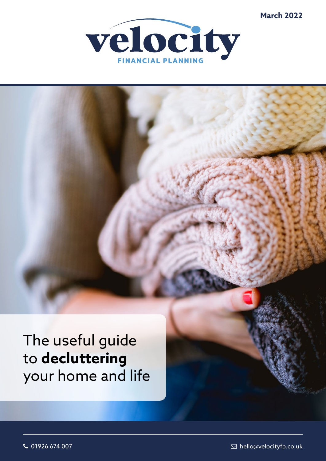**March 2022**



# The useful guide to **decluttering** your home and life

 $\sim$  01926 674 007  $\blacksquare$  hello@velocityfp.co.uk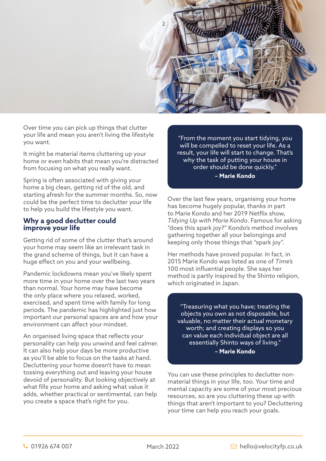

Over time you can pick up things that clutter your life and mean you aren't living the lifestyle you want.

It might be material items cluttering up your home or even habits that mean you're distracted from focusing on what you really want.

Spring is often associated with giving your home a big clean, getting rid of the old, and starting afresh for the summer months. So, now could be the perfect time to declutter your life to help you build the lifestyle you want.

# **Why a good declutter could improve your life**

Getting rid of some of the clutter that's around your home may seem like an irrelevant task in the grand scheme of things, but it can have a huge effect on you and your wellbeing.

Pandemic lockdowns mean you've likely spent more time in your home over the last two years than normal. Your home may have become the only place where you relaxed, worked, exercised, and spent time with family for long periods. The pandemic has highlighted just how important our personal spaces are and how your environment can affect your mindset.

An organised living space that reflects your personality can help you unwind and feel calmer. It can also help your days be more productive as you'll be able to focus on the tasks at hand. Decluttering your home doesn't have to mean tossing everything out and leaving your house devoid of personality. But looking objectively at what fills your home and asking what value it adds, whether practical or sentimental, can help you create a space that's right for you.

"From the moment you start tidying, you will be compelled to reset your life. As a result, your life will start to change. That's why the task of putting your house in order should be done quickly." **– Marie Kondo**

Over the last few years, organising your home has become hugely popular, thanks in part to Marie Kondo and her 2019 Netflix show, *Tidying Up with Marie Kondo*. Famous for asking "does this spark joy?" Kondo's method involves gathering together all your belongings and keeping only those things that "spark joy".

Her methods have proved popular. In fact, in 2015 Marie Kondo was listed as one of *Time's* 100 most influential people. She says her method is partly inspired by the Shinto religion, which originated in Japan.

"Treasuring what you have; treating the objects you own as not disposable, but valuable, no matter their actual monetary worth; and creating displays so you can value each individual object are all essentially Shinto ways of living." **– Marie Kondo**

You can use these principles to declutter nonmaterial things in your life, too. Your time and mental capacity are some of your most precious resources, so are you cluttering these up with things that aren't important to you? Decluttering your time can help you reach your goals.

March 2022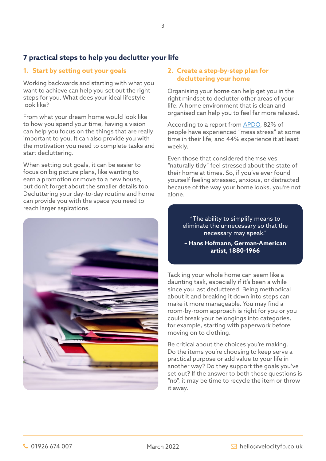# **7 practical steps to help you declutter your life**

# **1. Start by setting out your goals**

Working backwards and starting with what you want to achieve can help you set out the right steps for you. What does your ideal lifestyle look like?

From what your dream home would look like to how you spend your time, having a vision can help you focus on the things that are really important to you. It can also provide you with the motivation you need to complete tasks and start decluttering.

When setting out goals, it can be easier to focus on big picture plans, like wanting to earn a promotion or move to a new house, but don't forget about the smaller details too. Decluttering your day-to-day routine and home can provide you with the space you need to reach larger aspirations.



# **2. Create a step-by-step plan for decluttering your home**

Organising your home can help get you in the right mindset to declutter other areas of your life. A home environment that is clean and organised can help you to feel far more relaxed.

According to a report from [APDO,](https://www.apdo.co.uk/blog-messy-home-stressy-home-research/) 82% of people have experienced "mess stress" at some time in their life, and 44% experience it at least weekly.

Even those that considered themselves "naturally tidy" feel stressed about the state of their home at times. So, if you've ever found yourself feeling stressed, anxious, or distracted because of the way your home looks, you're not alone.

> "The ability to simplify means to eliminate the unnecessary so that the necessary may speak."

**– Hans Hofmann, German-American artist, 1880-1966** 

Tackling your whole home can seem like a daunting task, especially if it's been a while since you last decluttered. Being methodical about it and breaking it down into steps can make it more manageable. You may find a room-by-room approach is right for you or you could break your belongings into categories, for example, starting with paperwork before moving on to clothing.

Be critical about the choices you're making. Do the items you're choosing to keep serve a practical purpose or add value to your life in another way? Do they support the goals you've set out? If the answer to both those questions is "no", it may be time to recycle the item or throw it away.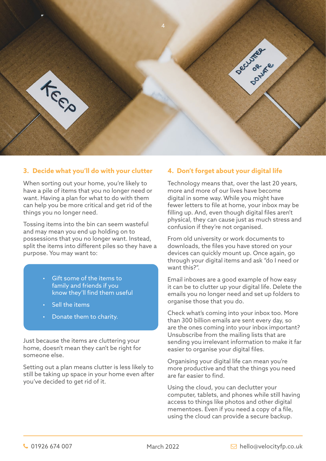

# **3. Decide what you'll do with your clutter**

When sorting out your home, you're likely to have a pile of items that you no longer need or want. Having a plan for what to do with them can help you be more critical and get rid of the things you no longer need.

Tossing items into the bin can seem wasteful and may mean you end up holding on to possessions that you no longer want. Instead, split the items into different piles so they have a purpose. You may want to:

- Gift some of the items to family and friends if you know they'll find them useful
- Sell the items
- Donate them to charity.

Just because the items are cluttering your home, doesn't mean they can't be right for someone else.

Setting out a plan means clutter is less likely to still be taking up space in your home even after you've decided to get rid of it.

# **4. Don't forget about your digital life**

Technology means that, over the last 20 years, more and more of our lives have become digital in some way. While you might have fewer letters to file at home, your inbox may be filling up. And, even though digital files aren't physical, they can cause just as much stress and confusion if they're not organised.

From old university or work documents to downloads, the files you have stored on your devices can quickly mount up. Once again, go through your digital items and ask "do I need or want this?".

Email inboxes are a good example of how easy it can be to clutter up your digital life. Delete the emails you no longer need and set up folders to organise those that you do.

Check what's coming into your inbox too. More than 300 billion emails are sent every day, so are the ones coming into your inbox important? Unsubscribe from the mailing lists that are sending you irrelevant information to make it far easier to organise your digital files.

Organising your digital life can mean you're more productive and that the things you need are far easier to find.

Using the cloud, you can declutter your computer, tablets, and phones while still having access to things like photos and other digital mementoes. Even if you need a copy of a file, using the cloud can provide a secure backup.

March 2022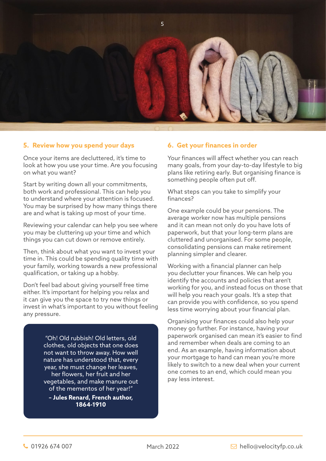

### **5. Review how you spend your days**

Once your items are decluttered, it's time to look at how you use your time. Are you focusing on what you want?

Start by writing down all your commitments, both work and professional. This can help you to understand where your attention is focused. You may be surprised by how many things there are and what is taking up most of your time.

Reviewing your calendar can help you see where you may be cluttering up your time and which things you can cut down or remove entirely.

Then, think about what you want to invest your time in. This could be spending quality time with your family, working towards a new professional qualification, or taking up a hobby.

Don't feel bad about giving yourself free time either. It's important for helping you relax and it can give you the space to try new things or invest in what's important to you without feeling any pressure.

> "Oh! Old rubbish! Old letters, old clothes, old objects that one does not want to throw away. How well nature has understood that, every year, she must change her leaves, her flowers, her fruit and her vegetables, and make manure out of the mementos of her year!"

**– Jules Renard, French author, 1864-1910** 

### **6. Get your finances in order**

Your finances will affect whether you can reach many goals, from your day-to-day lifestyle to big plans like retiring early. But organising finance is something people often put off.

What steps can you take to simplify your finances?

One example could be your pensions. The average worker now has multiple pensions and it can mean not only do you have lots of paperwork, but that your long-term plans are cluttered and unorganised. For some people, consolidating pensions can make retirement planning simpler and clearer.

Working with a financial planner can help you declutter your finances. We can help you identify the accounts and policies that aren't working for you, and instead focus on those that will help you reach your goals. It's a step that can provide you with confidence, so you spend less time worrying about your financial plan.

Organising your finances could also help your money go further. For instance, having your paperwork organised can mean it's easier to find and remember when deals are coming to an end. As an example, having information about your mortgage to hand can mean you're more likely to switch to a new deal when your current one comes to an end, which could mean you pay less interest.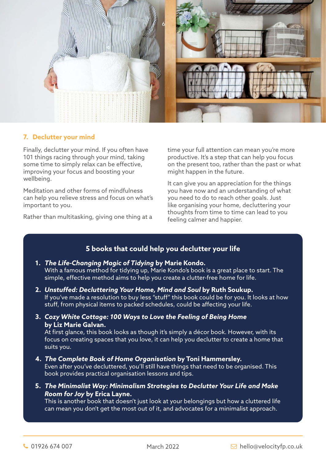

# **7. Declutter your mind**

Finally, declutter your mind. If you often have 101 things racing through your mind, taking some time to simply relax can be effective, improving your focus and boosting your wellbeing.

Meditation and other forms of mindfulness can help you relieve stress and focus on what's important to you.

Rather than multitasking, giving one thing at a

time your full attention can mean you're more productive. It's a step that can help you focus on the present too, rather than the past or what might happen in the future.

It can give you an appreciation for the things you have now and an understanding of what you need to do to reach other goals. Just like organising your home, decluttering your thoughts from time to time can lead to you feeling calmer and happier.

# **5 books that could help you declutter your life**

# **1.** *The Life-Changing Magic of Tidying* **by Marie Kondo.**  With a famous method for tidying up, Marie Kondo's book is a great place to start. The simple, effective method aims to help you create a clutter-free home for life.

- **2.** *Unstuffed: Decluttering Your Home, Mind and Soul* **by Ruth Soukup.**  If you've made a resolution to buy less "stuff" this book could be for you. It looks at how stuff, from physical items to packed schedules, could be affecting your life.
- **3.** *Cozy White Cottage: 100 Ways to Love the Feeling of Being Home* **by Liz Marie Galvan.**

At first glance, this book looks as though it's simply a décor book. However, with its focus on creating spaces that you love, it can help you declutter to create a home that suits you.

- **4.** *The Complete Book of Home Organisation* **by Toni Hammersley.**  Even after you've decluttered, you'll still have things that need to be organised. This book provides practical organisation lessons and tips.
- **5.** *The Minimalist Way: Minimalism Strategies to Declutter Your Life and Make Room for Joy* **by Erica Layne.**

This is another book that doesn't just look at your belongings but how a cluttered life can mean you don't get the most out of it, and advocates for a minimalist approach.

March 2022